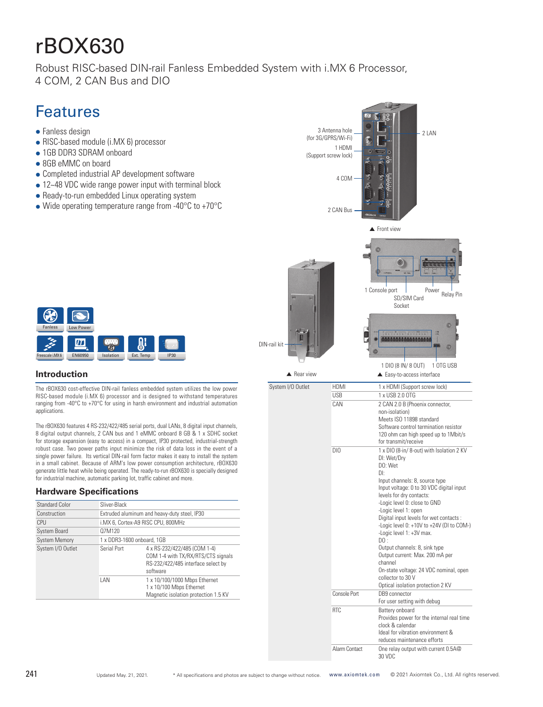# rBOX630

Robust RISC-based DIN-rail Fanless Embedded System with i.MX 6 Processor, 4 COM, 2 CAN Bus and DIO

## Features

- $\bullet$  Fanless design
- RISC-based module (i.MX 6) processor
- 1GB DDR3 SDRAM onboard
- 8GB eMMC on board
- Completed industrial AP development software
- 12~48 VDC wide range power input with terminal block
- Ready-to-run embedded Linux operating system
- $\bullet$  Wide operating temperature range from -40 $\degree$ C to +70 $\degree$ C





### **Introduction**

The rBOX630 cost-effective DIN-rail fanless embedded system utilizes the low power RISC-based module (i.MX 6) processor and is designed to withstand temperatures ranging from -40°C to +70°C for using in harsh environment and industrial automation applications.

The rBOX630 features 4 RS-232/422/485 serial ports, dual LANs, 8 digital input channels, 8 digital output channels, 2 CAN bus and 1 eMMC onboard 8 GB & 1 x SDHC socket for storage expansion (easy to access) in a compact, IP30 protected, industrial-strength robust case. Two power paths input minimize the risk of data loss in the event of a single power failure. Its vertical DIN-rail form factor makes it easy to install the system in a small cabinet. Because of ARM's low power consumption architecture, rBOX630 generate little heat while being operated. The ready-to-run rBOX630 is specially designed for industrial machine, automatic parking lot, traffic cabinet and more.

### **Hardware Specifications**

| <b>Standard Color</b> | Sliver-Black                                 |                                                                                                                      |  |
|-----------------------|----------------------------------------------|----------------------------------------------------------------------------------------------------------------------|--|
| Construction          | Extruded aluminum and heavy-duty steel, IP30 |                                                                                                                      |  |
| CPU                   |                                              | i.MX 6, Cortex-A9 RISC CPU, 800MHz                                                                                   |  |
| <b>System Board</b>   | 07M120                                       |                                                                                                                      |  |
| <b>System Memory</b>  | 1 x DDR3-1600 onboard, 1GB                   |                                                                                                                      |  |
| System I/O Outlet     | Serial Port                                  | 4 x RS-232/422/485 (COM 1-4)<br>COM 1-4 with TX/RX/RTS/CTS signals<br>RS-232/422/485 interface select by<br>software |  |
|                       | I AN                                         | 1 x 10/100/1000 Mbps Ethernet<br>1 x 10/100 Mbps Ethernet<br>Magnetic isolation protection 1.5 KV                    |  |

30 VDC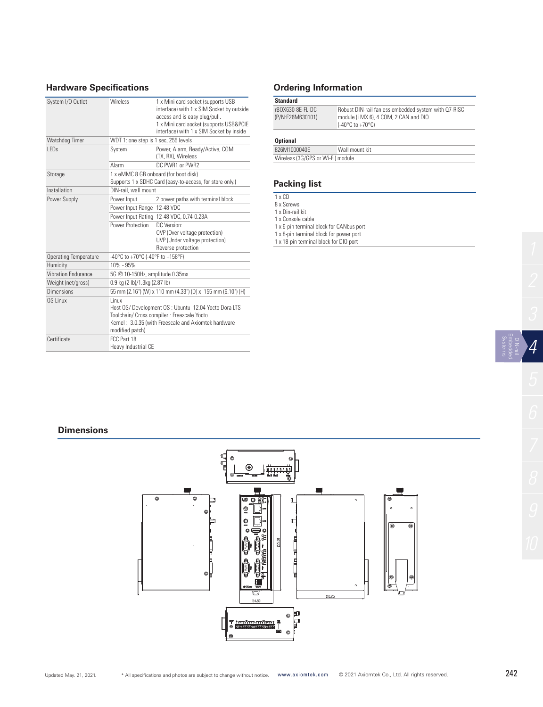### **Hardware Specifications Ordering Information**

| System I/O Outlet            | <b>Wireless</b>                                                                                                                                                                                  | 1 x Mini card socket (supports USB<br>interface) with 1 x SIM Socket by outside<br>access and is easy plug/pull. |
|------------------------------|--------------------------------------------------------------------------------------------------------------------------------------------------------------------------------------------------|------------------------------------------------------------------------------------------------------------------|
|                              |                                                                                                                                                                                                  | 1 x Mini card socket (supports USB&PCIE<br>interface) with 1 x SIM Socket by inside                              |
| Watchdog Timer               | WDT 1: one step is 1 sec, 255 levels                                                                                                                                                             |                                                                                                                  |
| I FD <sub>s</sub>            | System                                                                                                                                                                                           | Power, Alarm, Ready/Active, COM<br>(TX, RX), Wireless                                                            |
|                              | Alarm                                                                                                                                                                                            | DC PWR1 or PWR2                                                                                                  |
| Storage                      | 1 x eMMC 8 GB onboard (for boot disk)<br>Supports 1 x SDHC Card (easy-to-access, for store only.)                                                                                                |                                                                                                                  |
| Installation                 | DIN-rail, wall mount                                                                                                                                                                             |                                                                                                                  |
| Power Supply                 | Power Input                                                                                                                                                                                      | 2 power paths with terminal block                                                                                |
|                              | Power Input Range                                                                                                                                                                                | 12-48 VDC                                                                                                        |
|                              | Power Input Rating                                                                                                                                                                               | 12-48 VDC, 0.74-0.23A                                                                                            |
|                              | Power Protection                                                                                                                                                                                 | DC Version:<br>OVP (Over voltage protection)<br>UVP (Under voltage protection)<br>Reverse protection             |
| <b>Operating Temperature</b> | -40°C to +70°C (-40°F to +158°F)                                                                                                                                                                 |                                                                                                                  |
| Humidity                     | $10\% - 95\%$                                                                                                                                                                                    |                                                                                                                  |
| <b>Vibration Fndurance</b>   | 5G @ 10-150Hz, amplitude 0.35ms                                                                                                                                                                  |                                                                                                                  |
| Weight (net/gross)           | 0.9 kg (2 lb)/1.3kg (2.87 lb)                                                                                                                                                                    |                                                                                                                  |
| Dimensions                   | 55 mm (2.16") (W) x 110 mm (4.33") (D) x 155 mm (6.10") (H)                                                                                                                                      |                                                                                                                  |
| OS Linux                     | <b>l</b> inux<br>Host OS/ Development OS : Ubuntu 12.04 Yocto Dora LTS<br>Toolchain/ Cross compiler : Freescale Yocto<br>Kernel: 3.0.35 (with Freescale and Axiomtek hardware<br>modified patch) |                                                                                                                  |
| Certificate                  | FCC Part 18<br>Heavy Industrial CE                                                                                                                                                               |                                                                                                                  |

| <b>Standard</b>                      |                                                                                                                                       |
|--------------------------------------|---------------------------------------------------------------------------------------------------------------------------------------|
| rBOX630-8F-FL-DC<br>(P/N:E26M630101) | Robust DIN-rail fanless embedded system with Q7-RISC<br>module (i.MX 6), 4 COM, 2 CAN and DIO<br>$(-40^{\circ}$ C to $+70^{\circ}$ C) |

### **Optional**

| 826M1000040F                      | Wall mount kit |
|-----------------------------------|----------------|
| Wireless (3G/GPS or Wi-Fi) module |                |

### **Packing list**

### 1 x CD

8 x Screws

- 1 x Din-rail kit
- 1 x Console cable
- 1 x 6-pin terminal block for CANbus port 1 x 8-pin terminal block for power port
- 1 x 18-pin terminal block for DIO port

### **Dimensions**



*4*